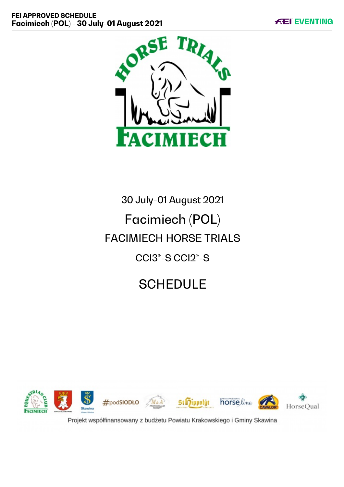

# 30 July-01 August 2021 Facimiech (POL) FACIMIECH HORSE TRIALS CCI3\*-S CCI2\*-S

# **SCHEDULE**



Projekt współfinansowany z budżetu Powiatu Krakowskiego i Gminy Skawina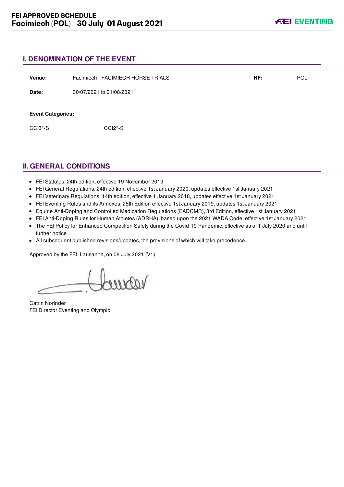# **I. DENOMINATION OF THE EVENT**

| Venue:                                | Facimiech - FACIMIECH HORSE TRIALS | NF: | <b>POL</b> |
|---------------------------------------|------------------------------------|-----|------------|
| Date:                                 | 30/07/2021 to 01/08/2021           |     |            |
| <b>Event Categories:</b><br>$CCI3*-S$ | CCI <sub>2</sub> <sup>*</sup> -S   |     |            |

# **II. GENERAL CONDITIONS**

- FEI Statutes, 24th edition, effective 19 November 2019
- FEI General Regulations, 24th edition, effective 1st January 2020, updates effective 1st January 2021
- FEI Veterinary Regulations, 14th edition, effective 1 January 2018, updates effective 1st January 2021
- FEI Eventing Rules and its Annexes, 25th Edition effective 1st January 2019, updates 1st January 2021
- Equine Anti-Doping and Controlled Medication Regulations (EADCMR), 3rd Edition, effective 1st January 2021
- FEI Anti-Doping Rules for Human Athletes (ADRHA), based upon the 2021 WADA Code, effective 1st January 2021
- The FEI Policy for Enhanced Competition Safety during the Covid-19 Pandemic, effective as of 1 July 2020 and until further notice
- All subsequent published revisions/updates, the provisions of which will take precedence.

Approved by the FEI, Lausanne, on 08 July 2021 (V1)

voorne

Catrin Norinder FEI Director Eventing and Olympic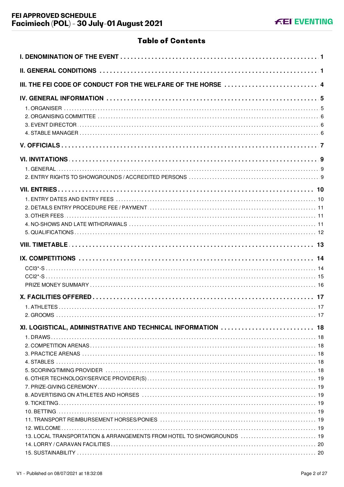# **Table of Contents**

| III. THE FEI CODE OF CONDUCT FOR THE WELFARE OF THE HORSE  4          |
|-----------------------------------------------------------------------|
|                                                                       |
|                                                                       |
|                                                                       |
|                                                                       |
|                                                                       |
|                                                                       |
|                                                                       |
|                                                                       |
|                                                                       |
| XI. LOGISTICAL, ADMINISTRATIVE AND TECHNICAL INFORMATION  18          |
|                                                                       |
|                                                                       |
|                                                                       |
| 13. LOCAL TRANSPORTATION & ARRANGEMENTS FROM HOTEL TO SHOWGROUNDS  19 |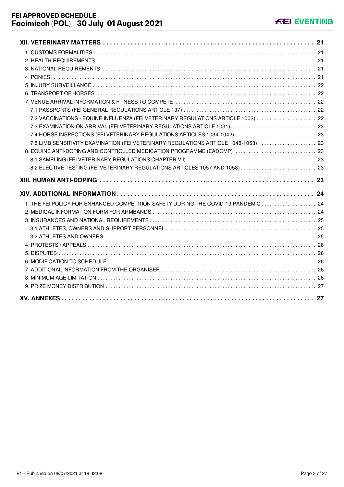| 7.2 VACCINATIONS - EQUINE INFLUENZA (FEI VETERINARY REGULATIONS ARTICLE 1003)  22   |  |
|-------------------------------------------------------------------------------------|--|
|                                                                                     |  |
|                                                                                     |  |
| 7.5 LIMB SENSITIVITY EXAMINATION (FEI VETERINARY REGULATIONS ARTICLE 1048-1053)  23 |  |
| 8. EQUINE ANTI-DOPING AND CONTROLLED MEDICATION PROGRAMME (EADCMP)  23              |  |
|                                                                                     |  |
| 8.2 ELECTIVE TESTING (FEI VETERINARY REGULATIONS ARTICLES 1057 AND 1058)  23        |  |
|                                                                                     |  |
|                                                                                     |  |
|                                                                                     |  |
| 1. THE FEI POLICY FOR ENHANCED COMPETITION SAFETY DURING THE COVID-19 PANDEMIC  24  |  |
|                                                                                     |  |
|                                                                                     |  |
|                                                                                     |  |
|                                                                                     |  |
|                                                                                     |  |
|                                                                                     |  |
|                                                                                     |  |
|                                                                                     |  |
|                                                                                     |  |
|                                                                                     |  |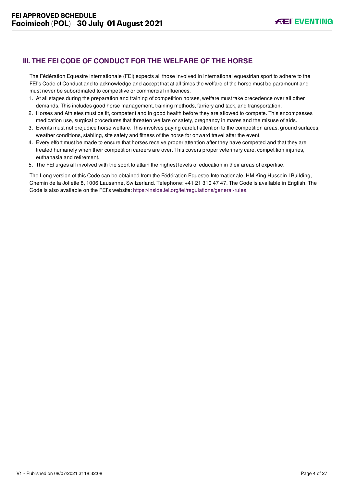# <span id="page-4-0"></span>**III. THE FEI CODE OF CONDUCT FOR THE WELFARE OF THE HORSE**

The Fédération Equestre Internationale (FEI) expects all those involved in international equestrian sport to adhere to the FEI's Code of Conduct and to acknowledge and accept that at all times the welfare of the horse must be paramount and must never be subordinated to competitive or commercial influences.

- 1. At all stages during the preparation and training of competition horses, welfare must take precedence over all other demands. This includes good horse management, training methods, farriery and tack, and transportation.
- 2. Horses and Athletes must be fit, competent and in good health before they are allowed to compete. This encompasses medication use, surgical procedures that threaten welfare or safety, pregnancy in mares and the misuse of aids.
- 3. Events must not prejudice horse welfare. This involves paying careful attention to the competition areas, ground surfaces, weather conditions, stabling, site safety and fitness of the horse for onward travel after the event.
- 4. Every effort must be made to ensure that horses receive proper attention after they have competed and that they are treated humanely when their competition careers are over. This covers proper veterinary care, competition injuries, euthanasia and retirement.
- 5. The FEI urges all involved with the sport to attain the highest levels of education in their areas of expertise.

The Long version of this Code can be obtained from the Fédération Equestre Internationale, HM King Hussein I Building, Chemin de la Joliette 8, 1006 Lausanne, Switzerland. Telephone: +41 21 310 47 47. The Code is available in English. The Code is also available on the FEI's website:<https://inside.fei.org/fei/regulations/general-rules>.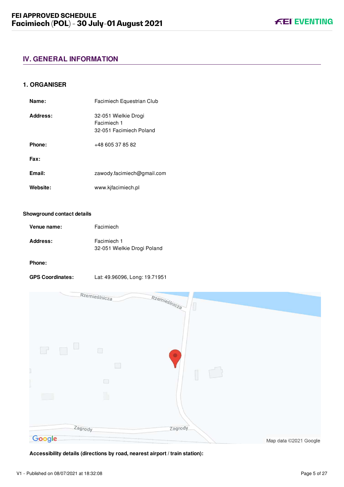# <span id="page-5-0"></span>**IV. GENERAL INFORMATION**

# <span id="page-5-1"></span>**1. ORGANISER**

| Name:    | Facimiech Equestrian Club                                      |
|----------|----------------------------------------------------------------|
| Address: | 32-051 Wielkie Drogi<br>Facimiech 1<br>32-051 Facimiech Poland |
| Phone:   | +48 605 37 85 82                                               |
| Fax:     |                                                                |
| Email:   | zawody.facimiech@gmail.com                                     |
| Website: | www.kjfacimiech.pl                                             |

#### **Showground contact details**

| Venue name:     | Facimiech                                  |
|-----------------|--------------------------------------------|
| <b>Address:</b> | Facimiech 1<br>32-051 Wielkie Drogi Poland |

# **Phone:**

**GPS Coordinates:** Lat: 49.96096, Long: 19.71951



**Accessibility details (directions by road, nearest airport / train station):**

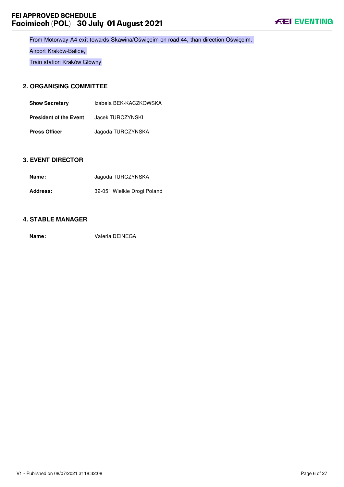# **FEI APPROVED SCHEDULE Facimiech (POL) - 30 July-01 August 2021**



From Motorway A4 exit towards Skawina/Oświęcim on road 44, than direction Oświęcim.

Airport Kraków-Balice,

Train station Kraków Główny

# <span id="page-6-0"></span>**2. ORGANISING COMMITTEE**

| <b>Show Secretary</b>         | Izabela BEK-KACZKOWSKA |
|-------------------------------|------------------------|
| <b>President of the Event</b> | Jacek TURCZYNSKI       |
| <b>Press Officer</b>          | Jagoda TURCZYNSKA      |

# <span id="page-6-1"></span>**3. EVENT DIRECTOR**

| Name:           | Jagoda TURCZYNSKA           |
|-----------------|-----------------------------|
| <b>Address:</b> | 32-051 Wielkie Drogi Poland |

# <span id="page-6-2"></span>**4. STABLE MANAGER**

**Name:** Valeria DEINEGA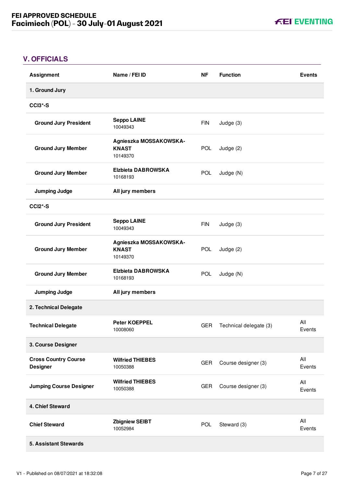**KEI EVENTING** 

# <span id="page-7-0"></span>**V. OFFICIALS**

| <b>Assignment</b>                              | Name / FEI ID                                      | <b>NF</b>  | <b>Function</b>        | <b>Events</b> |
|------------------------------------------------|----------------------------------------------------|------------|------------------------|---------------|
| 1. Ground Jury                                 |                                                    |            |                        |               |
| <b>CCI3*-S</b>                                 |                                                    |            |                        |               |
| <b>Ground Jury President</b>                   | <b>Seppo LAINE</b><br>10049343                     | <b>FIN</b> | Judge (3)              |               |
| <b>Ground Jury Member</b>                      | Agnieszka MOSSAKOWSKA-<br><b>KNAST</b><br>10149370 | <b>POL</b> | Judge (2)              |               |
| <b>Ground Jury Member</b>                      | <b>Elzbieta DABROWSKA</b><br>10168193              | POL        | Judge (N)              |               |
| <b>Jumping Judge</b>                           | All jury members                                   |            |                        |               |
| CCI <sub>2</sub> *-S                           |                                                    |            |                        |               |
| <b>Ground Jury President</b>                   | <b>Seppo LAINE</b><br>10049343                     | <b>FIN</b> | Judge (3)              |               |
| <b>Ground Jury Member</b>                      | Agnieszka MOSSAKOWSKA-<br><b>KNAST</b><br>10149370 | <b>POL</b> | Judge $(2)$            |               |
| <b>Ground Jury Member</b>                      | <b>Elzbieta DABROWSKA</b><br>10168193              | <b>POL</b> | Judge (N)              |               |
| <b>Jumping Judge</b>                           | All jury members                                   |            |                        |               |
| 2. Technical Delegate                          |                                                    |            |                        |               |
| <b>Technical Delegate</b>                      | <b>Peter KOEPPEL</b><br>10008060                   | <b>GER</b> | Technical delegate (3) | All<br>Events |
| 3. Course Designer                             |                                                    |            |                        |               |
| <b>Cross Country Course</b><br><b>Designer</b> | <b>Wilfried THIEBES</b><br>10050388                | <b>GER</b> | Course designer (3)    | All<br>Events |
| <b>Jumping Course Designer</b>                 | <b>Wilfried THIEBES</b><br>10050388                | <b>GER</b> | Course designer (3)    | All<br>Events |
| 4. Chief Steward                               |                                                    |            |                        |               |
| <b>Chief Steward</b>                           | <b>Zbigniew SEIBT</b><br>10052984                  | <b>POL</b> | Steward (3)            | All<br>Events |
| 5. Assistant Stewards                          |                                                    |            |                        |               |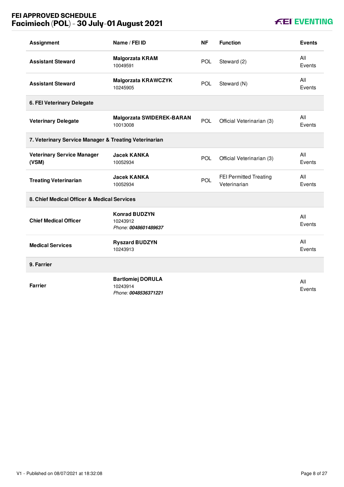# **FEI APPROVED SCHEDULE Facimiech (POL) - 30 July-01 August 2021**

# **KEI EVENTING**

| <b>Assignment</b>                                     | Name / FEI ID                                                | <b>NF</b>  | <b>Function</b>                               | <b>Events</b> |
|-------------------------------------------------------|--------------------------------------------------------------|------------|-----------------------------------------------|---------------|
| <b>Assistant Steward</b>                              | <b>Malgorzata KRAM</b><br>10049591                           | <b>POL</b> | Steward (2)                                   | All<br>Events |
| <b>Assistant Steward</b>                              | <b>Malgorzata KRAWCZYK</b><br>10245905                       | <b>POL</b> | Steward (N)                                   | All<br>Events |
| 6. FEI Veterinary Delegate                            |                                                              |            |                                               |               |
| <b>Veterinary Delegate</b>                            | <b>Malgorzata SWIDEREK-BARAN</b><br>10013008                 | <b>POL</b> | Official Veterinarian (3)                     | All<br>Events |
| 7. Veterinary Service Manager & Treating Veterinarian |                                                              |            |                                               |               |
| <b>Veterinary Service Manager</b><br>(VSM)            | <b>Jacek KANKA</b><br>10052934                               | POL        | Official Veterinarian (3)                     | All<br>Events |
| <b>Treating Veterinarian</b>                          | <b>Jacek KANKA</b><br>10052934                               | POL        | <b>FEI Permitted Treating</b><br>Veterinarian | All<br>Events |
| 8. Chief Medical Officer & Medical Services           |                                                              |            |                                               |               |
| <b>Chief Medical Officer</b>                          | <b>Konrad BUDZYN</b><br>10243912<br>Phone: 0048601489637     |            |                                               | All<br>Events |
| <b>Medical Services</b>                               | <b>Ryszard BUDZYN</b><br>10243913                            |            |                                               | All<br>Events |
| 9. Farrier                                            |                                                              |            |                                               |               |
| <b>Farrier</b>                                        | <b>Bartlomiej DORULA</b><br>10243914<br>Phone: 0048536371221 |            |                                               | All<br>Events |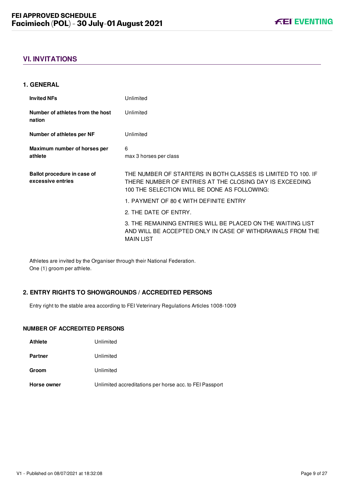# <span id="page-9-0"></span>**VI. INVITATIONS**

# <span id="page-9-1"></span>**1. GENERAL**

| <b>Invited NFs</b>                               | Unlimited                                                                                                                                                               |
|--------------------------------------------------|-------------------------------------------------------------------------------------------------------------------------------------------------------------------------|
| Number of athletes from the host<br>nation       | Unlimited                                                                                                                                                               |
| Number of athletes per NF                        | Unlimited                                                                                                                                                               |
| Maximum number of horses per                     | 6                                                                                                                                                                       |
| athlete                                          | max 3 horses per class                                                                                                                                                  |
|                                                  |                                                                                                                                                                         |
| Ballot procedure in case of<br>excessive entries | THE NUMBER OF STARTERS IN BOTH CLASSES IS LIMITED TO 100. IF<br>THERE NUMBER OF ENTRIES AT THE CLOSING DAY IS EXCEEDING<br>100 THE SELECTION WILL BE DONE AS FOLLOWING: |
|                                                  | 1. PAYMENT OF 80 $\epsilon$ with definite entry                                                                                                                         |
|                                                  | 2. THE DATE OF ENTRY.                                                                                                                                                   |
|                                                  | 3. THE REMAINING ENTRIES WILL BE PLACED ON THE WAITING LIST<br>AND WILL BE ACCEPTED ONLY IN CASE OF WITHDRAWALS FROM THE<br><b>MAIN LIST</b>                            |

Athletes are invited by the Organiser through their National Federation. One (1) groom per athlete.

# <span id="page-9-2"></span>**2. ENTRY RIGHTS TO SHOWGROUNDS / ACCREDITED PERSONS**

Entry right to the stable area according to FEI Veterinary Regulations Articles 1008-1009

# **NUMBER OF ACCREDITED PERSONS**

| <b>Athlete</b> | Unlimited                                               |
|----------------|---------------------------------------------------------|
| <b>Partner</b> | Unlimited                                               |
| Groom          | Unlimited                                               |
| Horse owner    | Unlimited accreditations per horse acc. to FEI Passport |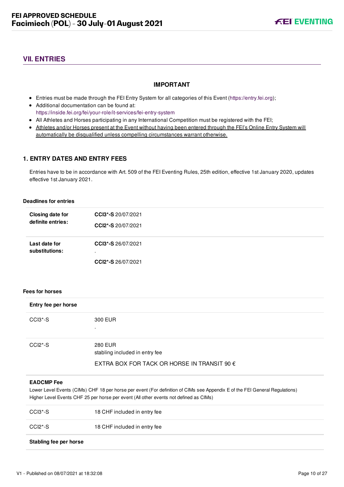# <span id="page-10-0"></span>**VII. ENTRIES**

# **IMPORTANT**

- Entries must be made through the FEI Entry System for all categories of this Event ([https://entry.fei.org\)](https://entry.fei.org);
- Additional documentation can be found at: <https://inside.fei.org/fei/your-role/it-services/fei-entry-system>
- All Athletes and Horses participating in any International Competition must be registered with the FEI;
- Athletes and/or Horses present at the Event without having been entered through the FEI's Online Entry System will automatically be disqualified unless compelling circumstances warrant otherwise.

# <span id="page-10-1"></span>**1. ENTRY DATES AND ENTRY FEES**

Entries have to be in accordance with Art. 509 of the FEI Eventing Rules, 25th edition, effective 1st January 2020, updates effective 1st January 2021.

#### **Deadlines for entries**

| Closing date for                | CCI3*-S 20/07/2021                       |
|---------------------------------|------------------------------------------|
| definite entries:               | CCI2*-S 20/07/2021                       |
| Last date for<br>substitutions: | CCI3*-S 26/07/2021<br>CCI2*-S 26/07/2021 |

#### **Fees for horses**

| Entry fee per horse              |                                                      |
|----------------------------------|------------------------------------------------------|
| CCI3*-S                          | 300 EUR                                              |
|                                  | $\bullet$                                            |
| CCI <sub>2</sub> <sup>*</sup> -S | <b>280 EUR</b><br>stabling included in entry fee     |
|                                  | EXTRA BOX FOR TACK OR HORSE IN TRANSIT 90 $\epsilon$ |

#### **EADCMP Fee**

Lower Level Events (CIMs) CHF 18 per horse per event (For definition of CIMs see Appendix E of the FEI General Regulations) Higher Level Events CHF 25 per horse per event (All other events not defined as CIMs)

| Stabling fee per horse |                              |
|------------------------|------------------------------|
| CCI2*-S                | 18 CHF included in entry fee |
| CCI3*-S                | 18 CHF included in entry fee |

#### V1 - Published on 08/07/2021 at 18:32:08 Page 10 of 27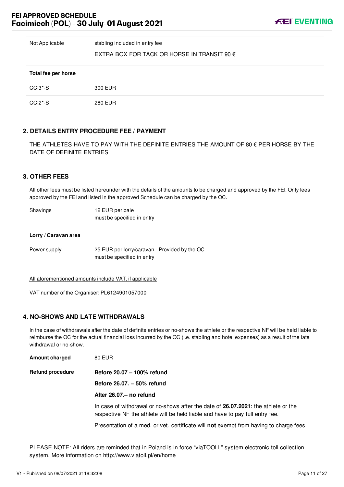Not Applicable stabling included in entry fee

# EXTRA BOX FOR TACK OR HORSE IN TRANSIT 90  $\epsilon$

| Total fee per horse |                |
|---------------------|----------------|
| CCI3*-S             | 300 EUR        |
| CCI2*-S             | <b>280 EUR</b> |

# <span id="page-11-0"></span>**2. DETAILS ENTRY PROCEDURE FEE / PAYMENT**

THE ATHLETES HAVE TO PAY WITH THE DEFINITE ENTRIES THE AMOUNT OF 80  $\epsilon$  PER HORSE BY THE DATE OF DEFINITE ENTRIES

# <span id="page-11-1"></span>**3. OTHER FEES**

All other fees must be listed hereunder with the details of the amounts to be charged and approved by the FEI. Only fees approved by the FEI and listed in the approved Schedule can be charged by the OC.

| Shavings | 12 EUR per bale            |
|----------|----------------------------|
|          | must be specified in entry |

#### **Lorry / Caravan area**

Power supply 25 EUR per lorry/caravan - Provided by the OC must be specified in entry

All aforementioned amounts include VAT, if applicable

VAT number of the Organiser: PL6124901057000

# <span id="page-11-2"></span>**4. NO-SHOWS AND LATE WITHDRAWALS**

In the case of withdrawals after the date of definite entries or no-shows the athlete or the respective NF will be held liable to reimburse the OC for the actual financial loss incurred by the OC (i.e. stabling and hotel expenses) as a result of the late withdrawal or no-show.

| <b>Amount charged</b> | <b>80 EUR</b> |
|-----------------------|---------------|
|                       |               |

**Refund procedure Before 20.07 – 100% refund**

**Before 26.07. – 50% refund**

#### **After 26.07.– no refund**

In case of withdrawal or no-shows after the date of **26.07.2021**: the athlete or the respective NF the athlete will be held liable and have to pay full entry fee.

Presentation of a med. or vet. certificate will **not** exempt from having to charge fees.

PLEASE NOTE: All riders are reminded that in Poland is in force "viaTOOLL" system electronic toll collection system. More information on http://www.viatoll.pl/en/home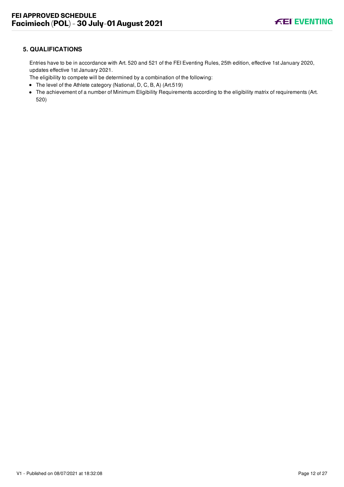# <span id="page-12-0"></span>**5. QUALIFICATIONS**

Entries have to be in accordance with Art. 520 and 521 of the FEI Eventing Rules, 25th edition, effective 1st January 2020, updates effective 1st January 2021.

The eligibility to compete will be determined by a combination of the following:

- The level of the Athlete category (National, D, C, B, A) (Art.519)
- The achievement of a number of Minimum Eligibility Requirements according to the eligibility matrix of requirements (Art. 520)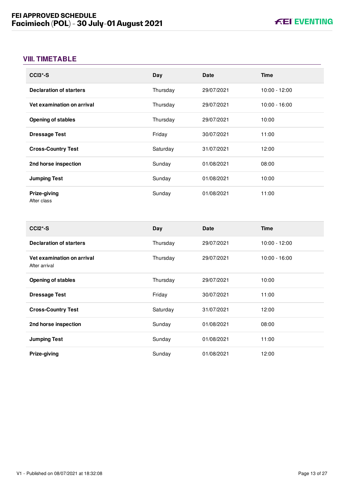# <span id="page-13-0"></span>**VIII. TIMETABLE**

| CCI <sub>3</sub> *-S           | Day      | <b>Date</b> | <b>Time</b>     |
|--------------------------------|----------|-------------|-----------------|
| <b>Declaration of starters</b> | Thursday | 29/07/2021  | $10:00 - 12:00$ |
| Vet examination on arrival     | Thursday | 29/07/2021  | $10:00 - 16:00$ |
| <b>Opening of stables</b>      | Thursday | 29/07/2021  | 10:00           |
| <b>Dressage Test</b>           | Friday   | 30/07/2021  | 11:00           |
| <b>Cross-Country Test</b>      | Saturday | 31/07/2021  | 12:00           |
| 2nd horse inspection           | Sunday   | 01/08/2021  | 08:00           |
| <b>Jumping Test</b>            | Sunday   | 01/08/2021  | 10:00           |
| Prize-giving<br>After class    | Sunday   | 01/08/2021  | 11:00           |

| $CCI2*-S$                                   | Day      | <b>Date</b> | <b>Time</b>     |
|---------------------------------------------|----------|-------------|-----------------|
| <b>Declaration of starters</b>              | Thursday | 29/07/2021  | $10:00 - 12:00$ |
| Vet examination on arrival<br>After arrival | Thursday | 29/07/2021  | $10:00 - 16:00$ |
| <b>Opening of stables</b>                   | Thursday | 29/07/2021  | 10:00           |
| <b>Dressage Test</b>                        | Friday   | 30/07/2021  | 11:00           |
| <b>Cross-Country Test</b>                   | Saturday | 31/07/2021  | 12:00           |
| 2nd horse inspection                        | Sunday   | 01/08/2021  | 08:00           |
| <b>Jumping Test</b>                         | Sunday   | 01/08/2021  | 11:00           |
| Prize-giving                                | Sunday   | 01/08/2021  | 12:00           |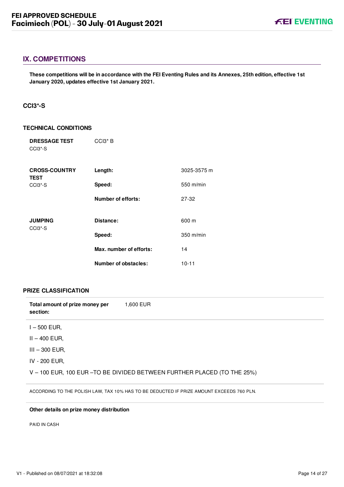# <span id="page-14-0"></span>**IX. COMPETITIONS**

**These competitions will be in accordance with the FEI Eventing Rules and its Annexes, 25th edition, effective 1st January 2020, updates effective 1st January 2021.**

# <span id="page-14-1"></span>**CCI3\*-S**

#### **TECHNICAL CONDITIONS**

| <b>DRESSAGE TEST</b><br>CCI <sub>3</sub> <sup>*</sup> -S | $CCI3*B$                    |             |
|----------------------------------------------------------|-----------------------------|-------------|
| <b>CROSS-COUNTRY</b><br><b>TEST</b>                      | Length:                     | 3025-3575 m |
| CCI <sub>3</sub> <sup>*</sup> -S                         | Speed:                      | 550 m/min   |
|                                                          | <b>Number of efforts:</b>   | 27-32       |
| <b>JUMPING</b>                                           | Distance:                   | 600 m       |
| CCI <sub>3</sub> <sup>*</sup> -S                         | Speed:                      | $350$ m/min |
|                                                          | Max. number of efforts:     | 14          |
|                                                          | <b>Number of obstacles:</b> | $10 - 11$   |

#### **PRIZE CLASSIFICATION**

| Total amount of prize money per | 1.600 EUR |
|---------------------------------|-----------|
| section:                        |           |

- $I 500$  EUR,
- II 400 EUR,
- III 300 EUR,
- IV 200 EUR,

V – 100 EUR, 100 EUR –TO BE DIVIDED BETWEEN FURTHER PLACED (TO THE 25%)

ACCORDING TO THE POLISH LAW, TAX 10% HAS TO BE DEDUCTED IF PRIZE AMOUNT EXCEEDS 760 PLN.

#### **Other details on prize money distribution**

PAID IN CASH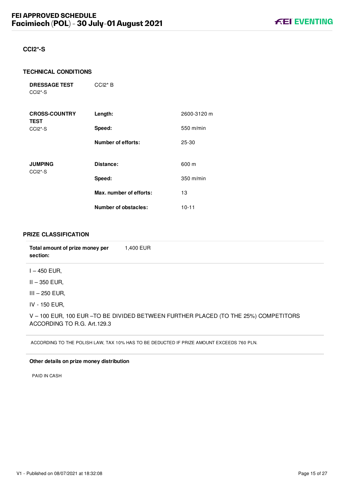# <span id="page-15-0"></span>**CCI2\*-S**

#### **TECHNICAL CONDITIONS**

**DRESSAGE TEST** CCI2\*-S CCI2\* B

| <b>CROSS-COUNTRY</b><br><b>TEST</b>                | Length:                   | 2600-3120 m |
|----------------------------------------------------|---------------------------|-------------|
| CCI <sub>2</sub> <sup>*</sup> -S                   | Speed:                    | $550$ m/min |
|                                                    | <b>Number of efforts:</b> | 25-30       |
| <b>JUMPING</b><br>CCI <sub>2</sub> <sup>*</sup> -S | Distance:                 | 600 m       |
|                                                    | Speed:                    | $350$ m/min |
|                                                    | Max. number of efforts:   | 13          |
|                                                    | Number of obstacles:      | $10 - 11$   |

# **PRIZE CLASSIFICATION**

| Total amount of prize money per<br>section: | 1,400 EUR                                                                                |
|---------------------------------------------|------------------------------------------------------------------------------------------|
| $I - 450$ EUR,                              |                                                                                          |
| II – 350 EUR.                               |                                                                                          |
| $III - 250$ EUR,                            |                                                                                          |
| IV - 150 EUR,                               |                                                                                          |
| ACCORDING TO R.G. Art. 129.3                | V - 100 EUR, 100 EUR - TO BE DIVIDED BETWEEN FURTHER PLACED (TO THE 25%) COMPETITORS     |
|                                             | ACCORDING TO THE POLISH LAW, TAX 10% HAS TO BE DEDUCTED IF PRIZE AMOUNT EXCEEDS 760 PLN. |

# **Other details on prize money distribution**

PAID IN CASH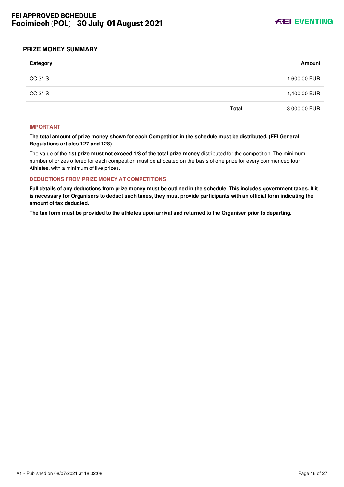

# <span id="page-16-0"></span>**PRIZE MONEY SUMMARY**

| Category |              | Amount       |
|----------|--------------|--------------|
| CCI3*-S  |              | 1,600.00 EUR |
| CCI2*-S  |              | 1,400.00 EUR |
|          | <b>Total</b> | 3,000.00 EUR |

#### **IMPORTANT**

**The total amount of prize money shown for each Competition in the schedule must be distributed. (FEI General Regulations articles 127 and 128)**

The value of the **1st prize must not exceed 1/3 of the total prize money** distributed for the competition. The minimum number of prizes offered for each competition must be allocated on the basis of one prize for every commenced four Athletes, with a minimum of five prizes.

#### **DEDUCTIONS FROM PRIZE MONEY AT COMPETITIONS**

**Full details of any deductions from prize money must be outlined in the schedule. This includes government taxes. If it is necessary for Organisers to deduct such taxes, they must provide participants with an official form indicating the amount of tax deducted.**

**The tax form must be provided to the athletes upon arrival and returned to the Organiser prior to departing.**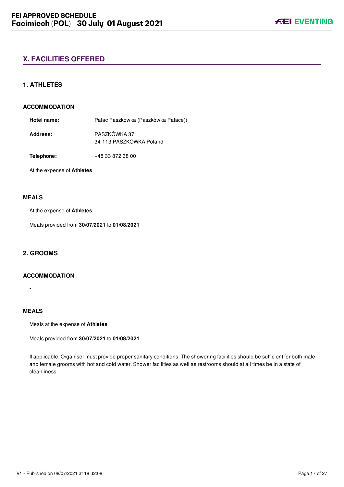# <span id="page-17-0"></span>**X. FACILITIES OFFERED**

# <span id="page-17-1"></span>**1. ATHLETES**

#### **ACCOMMODATION**

**Hotel name:** Pałac Paszkówka (Paszkówka Palace))

**Address:** PASZKÓWKA 37 34-113 PASZKÓWKA Poland

**Telephone:** +48 33 872 38 00

At the expense of **Athletes**

# **MEALS**

At the expense of **Athletes**

Meals provided from **30/07/2021** to **01/08/2021**

# <span id="page-17-2"></span>**2. GROOMS**

# **ACCOMMODATION**

**MEALS**

-

Meals at the expense of **Athletes**

Meals provided from **30/07/2021** to **01/08/2021**

If applicable, Organiser must provide proper sanitary conditions. The showering facilities should be sufficient for both male and female grooms with hot and cold water. Shower facilities as well as restrooms should at all times be in a state of cleanliness.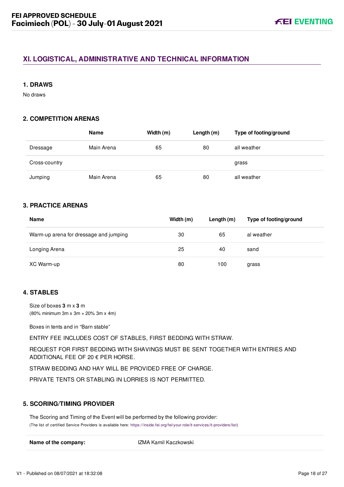# <span id="page-18-0"></span>**XI. LOGISTICAL, ADMINISTRATIVE AND TECHNICAL INFORMATION**

# <span id="page-18-1"></span>**1. DRAWS**

No draws

# <span id="page-18-2"></span>**2. COMPETITION ARENAS**

|               | <b>Name</b> | Width (m) | Length $(m)$ | Type of footing/ground |
|---------------|-------------|-----------|--------------|------------------------|
| Dressage      | Main Arena  | 65        | 80           | all weather            |
| Cross-country |             |           |              | grass                  |
| Jumping       | Main Arena  | 65        | 80           | all weather            |

# <span id="page-18-3"></span>**3. PRACTICE ARENAS**

| <b>Name</b>                            | Width (m) | Length (m) | Type of footing/ground |
|----------------------------------------|-----------|------------|------------------------|
| Warm-up arena for dressage and jumping | 30        | 65         | al weather             |
| Longing Arena                          | 25        | 40         | sand                   |
| XC Warm-up                             | 80        | 100        | grass                  |

# <span id="page-18-4"></span>**4. STABLES**

Size of boxes **3** m x **3** m (80% minimum 3m x 3m + 20% 3m x 4m)

Boxes in tents and in "Barn stable"

ENTRY FEE INCLUDES COST OF STABLES, FIRST BEDDING WITH STRAW.

REQUEST FOR FIRST BEDDING WITH SHAVINGS MUST BE SENT TOGETHER WITH ENTRIES AND ADDITIONAL FEE OF 20 € PER HORSE.

STRAW BEDDING AND HAY WILL BE PROVIDED FREE OF CHARGE.

PRIVATE TENTS OR STABLING IN LORRIES IS NOT PERMITTED.

# <span id="page-18-5"></span>**5. SCORING/TIMING PROVIDER**

The Scoring and Timing of the Event will be performed by the following provider: (The list of certified Service Providers is available here: [https://inside.fei.org/fei/your-role/it-services/it-providers/list\)](https://inside.fei.org/fei/your-role/it-services/it-providers/list)

**Name of the company:** IZMA Kamil Kaczkowski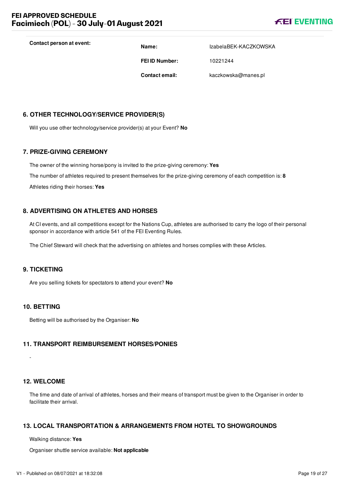

**Contact person at event: Name:** IzabelaBEK-KACZKOWSKA

**FEI ID Number:** 10221244

**Contact email:** kaczkowska@manes.pl

# <span id="page-19-0"></span>**6. OTHER TECHNOLOGY/SERVICE PROVIDER(S)**

Will you use other technology/service provider(s) at your Event? **No**

# <span id="page-19-1"></span>**7. PRIZE-GIVING CEREMONY**

The owner of the winning horse/pony is invited to the prize-giving ceremony: **Yes** The number of athletes required to present themselves for the prize-giving ceremony of each competition is: **8** Athletes riding their horses: **Yes**

# <span id="page-19-2"></span>**8. ADVERTISING ON ATHLETES AND HORSES**

At CI events, and all competitions except for the Nations Cup, athletes are authorised to carry the logo of their personal sponsor in accordance with article 541 of the FEI Eventing Rules.

The Chief Steward will check that the advertising on athletes and horses complies with these Articles.

# <span id="page-19-3"></span>**9. TICKETING**

Are you selling tickets for spectators to attend your event? **No**

# <span id="page-19-4"></span>**10. BETTING**

Betting will be authorised by the Organiser: **No**

# <span id="page-19-5"></span>**11. TRANSPORT REIMBURSEMENT HORSES/PONIES**

-

# <span id="page-19-6"></span>**12. WELCOME**

The time and date of arrival of athletes, horses and their means of transport must be given to the Organiser in order to facilitate their arrival.

# <span id="page-19-7"></span>**13. LOCAL TRANSPORTATION & ARRANGEMENTS FROM HOTEL TO SHOWGROUNDS**

Walking distance: **Yes**

Organiser shuttle service available: **Not applicable**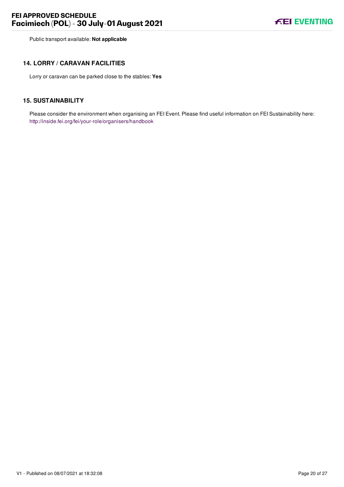Public transport available: **Not applicable**

# <span id="page-20-0"></span>**14. LORRY / CARAVAN FACILITIES**

Lorry or caravan can be parked close to the stables: **Yes**

# <span id="page-20-1"></span>**15. SUSTAINABILITY**

Please consider the environment when organising an FEI Event. Please find useful information on FEI Sustainability here: <http://inside.fei.org/fei/your-role/organisers/handbook>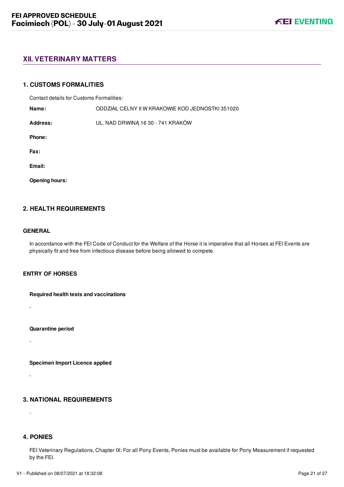# <span id="page-21-0"></span>**XII. VETERINARY MATTERS**

### <span id="page-21-1"></span>**1. CUSTOMS FORMALITIES**

Contact details for Customs Formalities:

**Name:** ODDZIAŁ CELNY II W KRAKOWIE KOD JEDNOSTKI 351020

**Address:** UL. NAD DRWINĄ 16 30 - 741 KRAKÓW

**Phone:**

**Fax:**

**Email:**

**Opening hours:**

# <span id="page-21-2"></span>**2. HEALTH REQUIREMENTS**

#### **GENERAL**

-

-

-

-

In accordance with the FEI Code of Conduct for the Welfare of the Horse it is imperative that all Horses at FEI Events are physically fit and free from infectious disease before being allowed to compete.

### **ENTRY OF HORSES**

**Required health tests and vaccinations**

**Quarantine period**

**Specimen Import Licence applied**

# <span id="page-21-3"></span>**3. NATIONAL REQUIREMENTS**

<span id="page-21-4"></span>**4. PONIES**

FEI Veterinary Regulations, Chapter IX: For all Pony Events, Ponies must be available for Pony Measurement if requested by the FEI.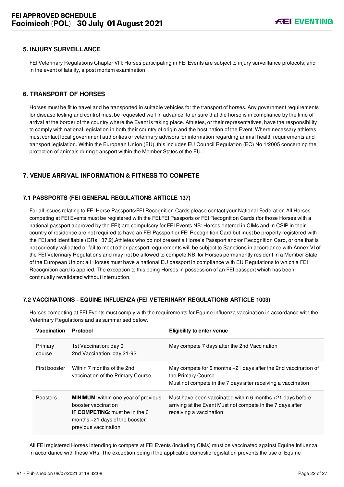# <span id="page-22-0"></span>**5. INJURY SURVEILLANCE**

FEI Veterinary Regulations Chapter VIII: Horses participating in FEI Events are subject to injury surveillance protocols; and in the event of fatality, a post mortem examination.

# <span id="page-22-1"></span>**6. TRANSPORT OF HORSES**

Horses must be fit to travel and be transported in suitable vehicles for the transport of horses. Any government requirements for disease testing and control must be requested well in advance, to ensure that the horse is in compliance by the time of arrival at the border of the country where the Event is taking place. Athletes, or their representatives, have the responsibility to comply with national legislation in both their country of origin and the host nation of the Event. Where necessary athletes must contact local government authorities or veterinary advisors for information regarding animal health requirements and transport legislation. Within the European Union (EU), this includes EU Council Regulation (EC) No 1/2005 concerning the protection of animals during transport within the Member States of the EU.

# <span id="page-22-2"></span>**7. VENUE ARRIVAL INFORMATION & FITNESS TO COMPETE**

### <span id="page-22-3"></span>**7.1 PASSPORTS (FEI GENERAL REGULATIONS ARTICLE 137)**

For all issues relating to FEI Horse Passports/FEI Recognition Cards please contact your National Federation.All Horses competing at FEI Events must be registered with the FEI.FEI Passports or FEI Recognition Cards (for those Horses with a national passport approved by the FEI) are compulsory for FEI Events.NB: Horses entered in CIMs and in CSIP in their country of residence are not required to have an FEI Passport or FEI Recognition Card but must be properly registered with the FEI and identifiable (GRs 137.2).Athletes who do not present a Horse's Passport and/or Recognition Card, or one that is not correctly validated or fail to meet other passport requirements will be subject to Sanctions in accordance with Annex VI of the FEI Veterinary Regulations and may not be allowed to compete.NB: for Horses permanently resident in a Member State of the European Union: all Horses must have a national EU passport in compliance with EU Regulations to which a FEI Recognition card is applied. The exception to this being Horses in possession of an FEI passport which has been continually revalidated without interruption.

# <span id="page-22-4"></span>**7.2 VACCINATIONS - EQUINE INFLUENZA (FEI VETERINARY REGULATIONS ARTICLE 1003)**

| <b>Vaccination</b> | Protocol                                                                                                                                                                | <b>Eligibility to enter venue</b>                                                                                                                    |
|--------------------|-------------------------------------------------------------------------------------------------------------------------------------------------------------------------|------------------------------------------------------------------------------------------------------------------------------------------------------|
| Primary<br>course  | 1st Vaccination: day 0<br>2nd Vaccination: day 21-92                                                                                                                    | May compete 7 days after the 2nd Vaccination                                                                                                         |
| First booster      | Within 7 months of the 2nd<br>vaccination of the Primary Course                                                                                                         | May compete for 6 months +21 days after the 2nd vaccination of<br>the Primary Course<br>Must not compete in the 7 days after receiving a vaccination |
| <b>Boosters</b>    | <b>MINIMUM:</b> within one year of previous<br>booster vaccination<br><b>IF COMPETING:</b> must be in the 6<br>months $+21$ days of the booster<br>previous vaccination | Must have been vaccinated within 6 months $+21$ days before<br>arriving at the Event Must not compete in the 7 days after<br>receiving a vaccination |

Horses competing at FEI Events must comply with the requirements for Equine Influenza vaccination in accordance with the Veterinary Regulations and as summarised below.

All FEI registered Horses intending to compete at FEI Events (including CIMs) must be vaccinated against Equine Influenza in accordance with these VRs. The exception being if the applicable domestic legislation prevents the use of Equine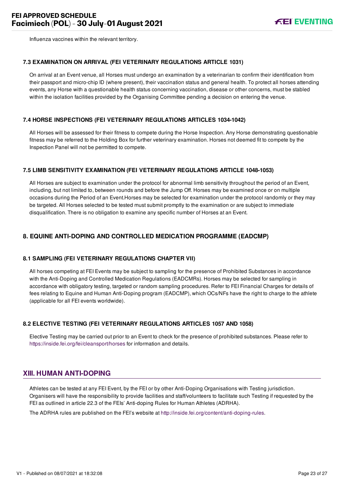Influenza vaccines within the relevant territory.

### <span id="page-23-0"></span>**7.3 EXAMINATION ON ARRIVAL (FEI VETERINARY REGULATIONS ARTICLE 1031)**

On arrival at an Event venue, all Horses must undergo an examination by a veterinarian to confirm their identification from their passport and micro-chip ID (where present), their vaccination status and general health. To protect all horses attending events, any Horse with a questionable health status concerning vaccination, disease or other concerns, must be stabled within the isolation facilities provided by the Organising Committee pending a decision on entering the venue.

# <span id="page-23-1"></span>**7.4 HORSE INSPECTIONS (FEI VETERINARY REGULATIONS ARTICLES 1034-1042)**

All Horses will be assessed for their fitness to compete during the Horse Inspection. Any Horse demonstrating questionable fitness may be referred to the Holding Box for further veterinary examination. Horses not deemed fit to compete by the Inspection Panel will not be permitted to compete.

### <span id="page-23-2"></span>**7.5 LIMB SENSITIVITY EXAMINATION (FEI VETERINARY REGULATIONS ARTICLE 1048-1053)**

All Horses are subject to examination under the protocol for abnormal limb sensitivity throughout the period of an Event, including, but not limited to, between rounds and before the Jump Off. Horses may be examined once or on multiple occasions during the Period of an Event.Horses may be selected for examination under the protocol randomly or they may be targeted. All Horses selected to be tested must submit promptly to the examination or are subject to immediate disqualification. There is no obligation to examine any specific number of Horses at an Event.

# <span id="page-23-3"></span>**8. EQUINE ANTI-DOPING AND CONTROLLED MEDICATION PROGRAMME (EADCMP)**

# <span id="page-23-4"></span>**8.1 SAMPLING (FEI VETERINARY REGULATIONS CHAPTER VII)**

All horses competing at FEI Events may be subject to sampling for the presence of Prohibited Substances in accordance with the Anti-Doping and Controlled Medication Regulations (EADCMRs). Horses may be selected for sampling in accordance with obligatory testing, targeted or random sampling procedures. Refer to FEI Financial Charges for details of fees relating to Equine and Human Anti-Doping program (EADCMP), which OCs/NFs have the right to charge to the athlete (applicable for all FEI events worldwide).

# <span id="page-23-5"></span>**8.2 ELECTIVE TESTING (FEI VETERINARY REGULATIONS ARTICLES 1057 AND 1058)**

<span id="page-23-6"></span>Elective Testing may be carried out prior to an Event to check for the presence of prohibited substances. Please refer to <https://inside.fei.org/fei/cleansport/horses>for information and details.

# **XIII. HUMAN ANTI-DOPING**

Athletes can be tested at any FEI Event, by the FEI or by other Anti-Doping Organisations with Testing jurisdiction. Organisers will have the responsibility to provide facilities and staff/volunteers to facilitate such Testing if requested by the FEI as outlined in article 22.3 of the FEIs' Anti-doping Rules for Human Athletes (ADRHA).

The ADRHA rules are published on the FEI's website at [http://inside.fei.org/content/anti-doping-rules.](http://inside.fei.org/content/anti-doping-rules)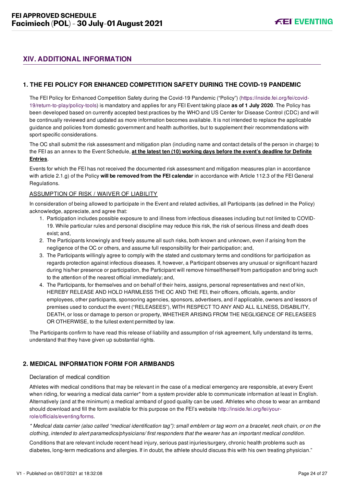# <span id="page-24-0"></span>**XIV. ADDITIONAL INFORMATION**

# <span id="page-24-1"></span>**1. THE FEI POLICY FOR ENHANCED COMPETITION SAFETY DURING THE COVID-19 PANDEMIC**

[The FEI Policy for Enhanced Competition Safety during the Covid-19 Pandemic \("Policy"\) \(https://inside.fei.org/fei/covid-](https://inside.fei.org/fei/covid-19/return-to-play/policy-tools)19/return-to-play/policy-tools) is mandatory and applies for any FEI Event taking place **as of 1 July 2020**. The Policy has been developed based on currently accepted best practices by the WHO and US Center for Disease Control (CDC) and will be continually reviewed and updated as more information becomes available. It is not intended to replace the applicable guidance and policies from domestic government and health authorities, but to supplement their recommendations with sport specific considerations.

The OC shall submit the risk assessment and mitigation plan (including name and contact details of the person in charge) to the FEI as an annex to the Event Schedule, **at the latest ten (10) working days before the event's deadline for Definite Entries**.

Events for which the FEI has not received the documented risk assessment and mitigation measures plan in accordance with article 2.1.g) of the Policy **will be removed from the FEI calendar** in accordance with Article 112.3 of the FEI General Regulations.

#### ASSUMPTION OF RISK / WAIVER OF LIABILITY

In consideration of being allowed to participate in the Event and related activities, all Participants (as defined in the Policy) acknowledge, appreciate, and agree that:

- 1. Participation includes possible exposure to and illness from infectious diseases including but not limited to COVID-19. While particular rules and personal discipline may reduce this risk, the risk of serious illness and death does exist; and,
- 2. The Participants knowingly and freely assume all such risks, both known and unknown, even if arising from the negligence of the OC or others, and assume full responsibility for their participation; and,
- 3. The Participants willingly agree to comply with the stated and customary terms and conditions for participation as regards protection against infectious diseases. If, however, a Participant observes any unusual or significant hazard during his/her presence or participation, the Participant will remove himself/herself from participation and bring such to the attention of the nearest official immediately; and,
- 4. The Participants, for themselves and on behalf of their heirs, assigns, personal representatives and next of kin, HEREBY RELEASE AND HOLD HARMLESS THE OC AND THE FEI, their officers, officials, agents, and/or employees, other participants, sponsoring agencies, sponsors, advertisers, and if applicable, owners and lessors of premises used to conduct the event ("RELEASEES"), WITH RESPECT TO ANY AND ALL ILLNESS, DISABILITY, DEATH, or loss or damage to person or property, WHETHER ARISING FROM THE NEGLIGENCE OF RELEASEES OR OTHERWISE, to the fullest extent permitted by law.

The Participants confirm to have read this release of liability and assumption of risk agreement, fully understand its terms, understand that they have given up substantial rights.

# <span id="page-24-2"></span>**2. MEDICAL INFORMATION FORM FOR ARMBANDS**

#### Declaration of medical condition

Athletes with medical conditions that may be relevant in the case of a medical emergency are responsible, at every Event when riding, for wearing a medical data carrier\* from a system provider able to communicate information at least in English. Alternatively (and at the minimum) a medical armband of good quality can be used. Athletes who chose to wear an armband [should download and fill the form available for this purpose on the FEI's website http://inside.fei.org/fei/your](http://inside.fei.org/fei/your-role/officials/eventing/forms)role/officials/eventing/forms.

*\* Medical data carrier (also called "medical identification tag"): small emblem or tag worn on a bracelet, neck chain, or on the clothing, intended to alert paramedics/physicians/ first responders that the wearer has an important medical condition.*

Conditions that are relevant include recent head injury, serious past injuries/surgery, chronic health problems such as diabetes, long-term medications and allergies. If in doubt, the athlete should discuss this with his own treating physician."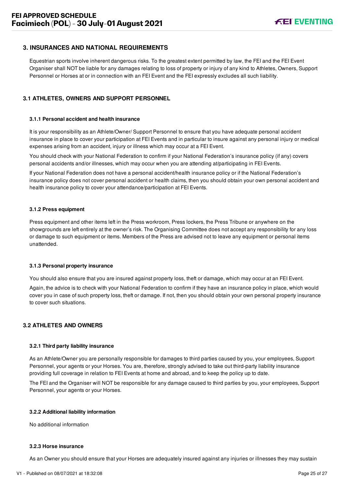# <span id="page-25-0"></span>**3. INSURANCES AND NATIONAL REQUIREMENTS**

Equestrian sports involve inherent dangerous risks. To the greatest extent permitted by law, the FEI and the FEI Event Organiser shall NOT be liable for any damages relating to loss of property or injury of any kind to Athletes, Owners, Support Personnel or Horses at or in connection with an FEI Event and the FEI expressly excludes all such liability.

# <span id="page-25-1"></span>**3.1 ATHLETES, OWNERS AND SUPPORT PERSONNEL**

#### **3.1.1 Personal accident and health insurance**

It is your responsibility as an Athlete/Owner/ Support Personnel to ensure that you have adequate personal accident insurance in place to cover your participation at FEI Events and in particular to insure against any personal injury or medical expenses arising from an accident, injury or illness which may occur at a FEI Event.

You should check with your National Federation to confirm if your National Federation's insurance policy (if any) covers personal accidents and/or illnesses, which may occur when you are attending at/participating in FEI Events.

If your National Federation does not have a personal accident/health insurance policy or if the National Federation's insurance policy does not cover personal accident or health claims, then you should obtain your own personal accident and health insurance policy to cover your attendance/participation at FEI Events.

#### **3.1.2 Press equipment**

Press equipment and other items left in the Press workroom, Press lockers, the Press Tribune or anywhere on the showgrounds are left entirely at the owner's risk. The Organising Committee does not accept any responsibility for any loss or damage to such equipment or items. Members of the Press are advised not to leave any equipment or personal items unattended.

#### **3.1.3 Personal property insurance**

You should also ensure that you are insured against property loss, theft or damage, which may occur at an FEI Event.

Again, the advice is to check with your National Federation to confirm if they have an insurance policy in place, which would cover you in case of such property loss, theft or damage. If not, then you should obtain your own personal property insurance to cover such situations.

#### <span id="page-25-2"></span>**3.2 ATHLETES AND OWNERS**

#### **3.2.1 Third party liability insurance**

As an Athlete/Owner you are personally responsible for damages to third parties caused by you, your employees, Support Personnel, your agents or your Horses. You are, therefore, strongly advised to take out third-party liability insurance providing full coverage in relation to FEI Events at home and abroad, and to keep the policy up to date.

The FEI and the Organiser will NOT be responsible for any damage caused to third parties by you, your employees, Support Personnel, your agents or your Horses.

#### **3.2.2 Additional liability information**

No additional information

#### **3.2.3 Horse insurance**

As an Owner you should ensure that your Horses are adequately insured against any injuries or illnesses they may sustain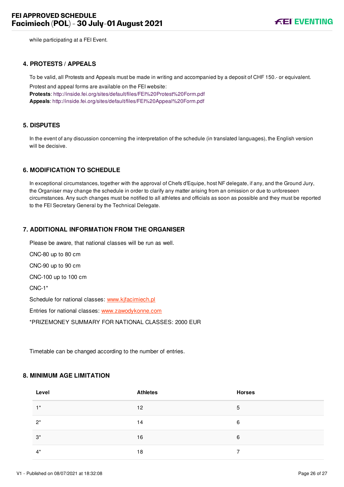while participating at a FEI Event.

### <span id="page-26-0"></span>**4. PROTESTS / APPEALS**

To be valid, all Protests and Appeals must be made in writing and accompanied by a deposit of CHF 150.- or equivalent.

Protest and appeal forms are available on the FEI website: **Protests**:<http://inside.fei.org/sites/default/files/FEI%20Protest%20Form.pdf> **Appeals**:<http://inside.fei.org/sites/default/files/FEI%20Appeal%20Form.pdf>

# <span id="page-26-1"></span>**5. DISPUTES**

In the event of any discussion concerning the interpretation of the schedule (in translated languages), the English version will be decisive.

# <span id="page-26-2"></span>**6. MODIFICATION TO SCHEDULE**

In exceptional circumstances, together with the approval of Chefs d'Equipe, host NF delegate, if any, and the Ground Jury, the Organiser may change the schedule in order to clarify any matter arising from an omission or due to unforeseen circumstances. Any such changes must be notified to all athletes and officials as soon as possible and they must be reported to the FEI Secretary General by the Technical Delegate.

### <span id="page-26-3"></span>**7. ADDITIONAL INFORMATION FROM THE ORGANISER**

Please be aware, that national classes will be run as well.

CNC-80 up to 80 cm

CNC-90 up to 90 cm

CNC-100 up to 100 cm

CNC-1\*

Schedule for national classes: [www.kjfacimiech.pl](http://www.kjfacimiech.pl/)

Entries for national classes: [www.zawodykonne.com](http://www.zawodykonne.com/)

\*PRIZEMONEY SUMMARY FOR NATIONAL CLASSES: 2000 EUR

Timetable can be changed according to the number of entries.

# <span id="page-26-4"></span>**8. MINIMUM AGE LIMITATION**

| Level | <b>Athletes</b> | <b>Horses</b> |
|-------|-----------------|---------------|
| $1^*$ | 12 <sup>°</sup> | 5             |
| $2^*$ | 14              | 6             |
| $3^*$ | 16              | 6             |
| $4^*$ | 18              | ⇁             |